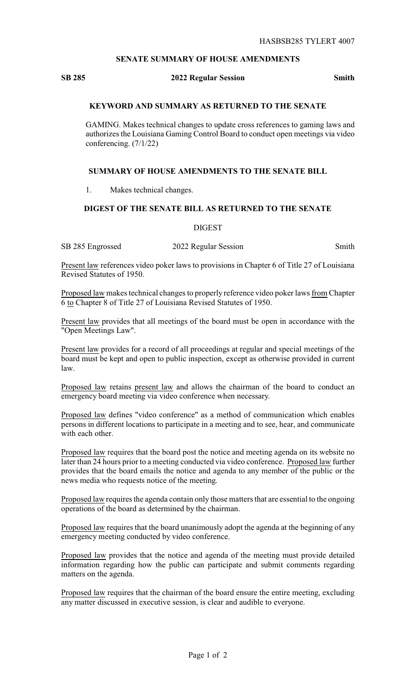### **SENATE SUMMARY OF HOUSE AMENDMENTS**

#### **SB 285 2022 Regular Session Smith**

## **KEYWORD AND SUMMARY AS RETURNED TO THE SENATE**

GAMING. Makes technical changes to update cross references to gaming laws and authorizes the Louisiana Gaming Control Board to conduct open meetings via video conferencing. (7/1/22)

### **SUMMARY OF HOUSE AMENDMENTS TO THE SENATE BILL**

1. Makes technical changes.

# **DIGEST OF THE SENATE BILL AS RETURNED TO THE SENATE**

DIGEST

SB 285 Engrossed 2022 Regular Session Smith

Present law references video poker laws to provisions in Chapter 6 of Title 27 of Louisiana Revised Statutes of 1950.

Proposed law makes technical changes to properly reference video poker laws from Chapter 6 to Chapter 8 of Title 27 of Louisiana Revised Statutes of 1950.

Present law provides that all meetings of the board must be open in accordance with the "Open Meetings Law".

Present law provides for a record of all proceedings at regular and special meetings of the board must be kept and open to public inspection, except as otherwise provided in current law.

Proposed law retains present law and allows the chairman of the board to conduct an emergency board meeting via video conference when necessary.

Proposed law defines "video conference" as a method of communication which enables persons in different locations to participate in a meeting and to see, hear, and communicate with each other.

Proposed law requires that the board post the notice and meeting agenda on its website no later than 24 hours prior to a meeting conducted via video conference. Proposed law further provides that the board emails the notice and agenda to any member of the public or the news media who requests notice of the meeting.

Proposed law requires the agenda contain only those matters that are essential to the ongoing operations of the board as determined by the chairman.

Proposed law requires that the board unanimously adopt the agenda at the beginning of any emergency meeting conducted by video conference.

Proposed law provides that the notice and agenda of the meeting must provide detailed information regarding how the public can participate and submit comments regarding matters on the agenda.

Proposed law requires that the chairman of the board ensure the entire meeting, excluding any matter discussed in executive session, is clear and audible to everyone.